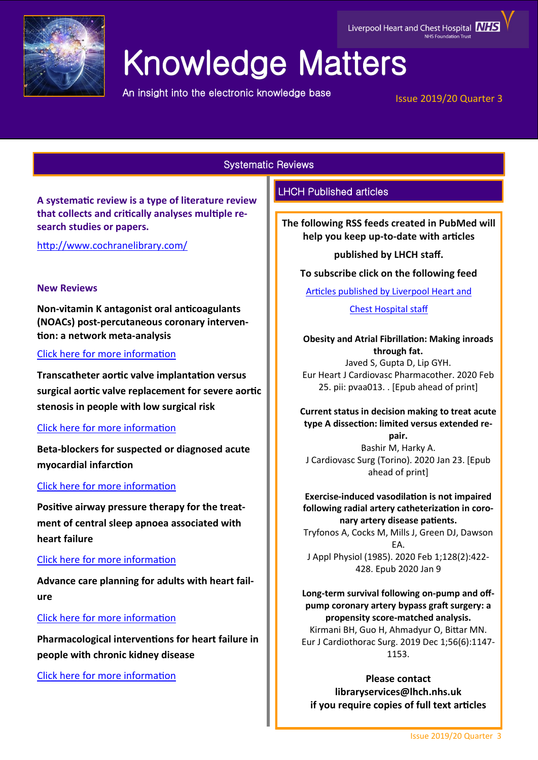

# Knowledge Matters

An insight into the electronic knowledge base

# Issue 2019/20 Quarter 3

Liverpool Heart and Chest Hospital **NHS** 

Systematic Reviews

**A systematic review is a type of literature review that collects and critically analyses multiple research studies or papers.** 

<http://www.cochranelibrary.com/>

# **New Reviews**

**Non-vitamin K antagonist oral anticoagulants (NOACs) post-percutaneous coronary intervention: a network meta-analysis**

# [Click here for more information](https://www.cochranelibrary.com/cdsr/doi/10.1002/14651858.CD013252.pub2/full?highlightAbstract=withdrawn)

**Transcatheter aortic valve implantation versus surgical aortic valve replacement for severe aortic stenosis in people with low surgical risk**

# [Click here for more information](https://www.cochranelibrary.com/cdsr/doi/10.1002/14651858.CD013319.pub2/full?highlightAbstract=withdrawn)

**Beta-blockers for suspected or diagnosed acute myocardial infarction**

# [Click here for more information](https://www.cochranelibrary.com/cdsr/doi/10.1002/14651858.CD012484.pub2/full?highlightAbstract=withdrawn)

**Positive airway pressure therapy for the treatment of central sleep apnoea associated with heart failure**

# [Click here for more information](https://www.cochranelibrary.com/cdsr/doi/10.1002/14651858.CD012803.pub2/full?highlightAbstract=withdrawn)

**Advance care planning for adults with heart failure**

# [Click here for more information](https://www.cochranelibrary.com/cdsr/doi/10.1002/14651858.CD013022.pub2/full?highlightAbstract=withdrawn)

**Pharmacological interventions for heart failure in people with chronic kidney disease**

[Click here for more information](https://www.cochranelibrary.com/cdsr/doi/10.1002/14651858.CD012466.pub2/full?highlightAbstract=withdrawn)

# LHCH Published articles

**The following RSS feeds created in PubMed will help you keep up-to-date with articles** 

# **published by LHCH staff.**

# **To subscribe click on the following feed**

[Articles published by Liverpool Heart and](http://eutils.ncbi.nlm.nih.gov/entrez/eutils/erss.cgi?rss_guid=1jmC0p0kwOiCcrGq4UdlH-eTmaOgJ316E2QW_6DKsMnynMiQ2d) 

# [Chest Hospital staff](http://eutils.ncbi.nlm.nih.gov/entrez/eutils/erss.cgi?rss_guid=1jmC0p0kwOiCcrGq4UdlH-eTmaOgJ316E2QW_6DKsMnynMiQ2d)

# **Obesity and Atrial Fibrillation: Making inroads through fat.** Javed S, Gupta D, Lip GYH. Eur Heart J Cardiovasc Pharmacother. 2020 Feb

25. pii: pvaa013. . [Epub ahead of print]

**Current status in decision making to treat acute type A dissection: limited versus extended repair.** Bashir M, Harky A.

J Cardiovasc Surg (Torino). 2020 Jan 23. [Epub ahead of print]

## **Exercise-induced vasodilation is not impaired following radial artery catheterization in coronary artery disease patients.**

Tryfonos A, Cocks M, Mills J, Green DJ, Dawson EA. J Appl Physiol (1985). 2020 Feb 1;128(2):422- 428. Epub 2020 Jan 9

**Long-term survival following on-pump and offpump coronary artery bypass graft surgery: a propensity score-matched analysis.** Kirmani BH, Guo H, Ahmadyur O, Bittar MN.

Eur J Cardiothorac Surg. 2019 Dec 1;56(6):1147- 1153.

**Please contact libraryservices@lhch.nhs.uk if you require copies of full text articles**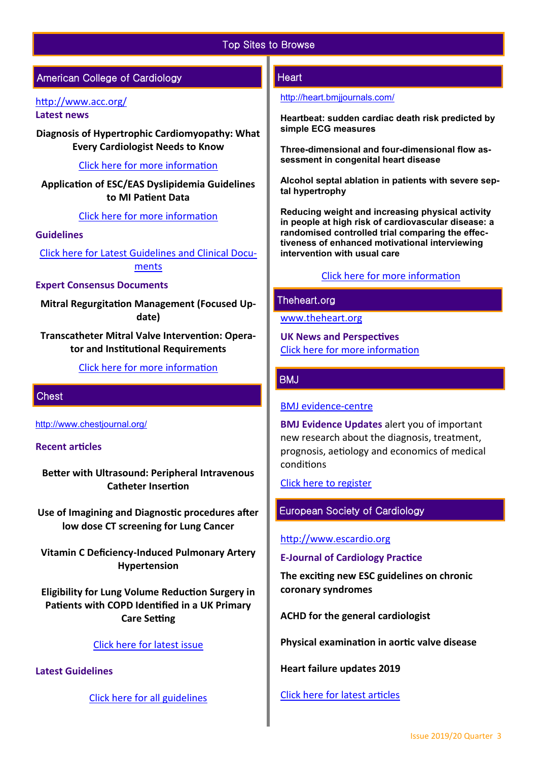# Top Sites to Browse

# American College of Cardiology

# <http://www.acc.org/>

**Latest news** 

**Diagnosis of Hypertrophic Cardiomyopathy: What Every Cardiologist Needs to Know**

[Click here for more information](https://www.acc.org/latest-in-cardiology/articles/2020/02/25/06/34/diagnosis-of-hypertrophic-cardiomyopathy) 

**Application of ESC/EAS Dyslipidemia Guidelines to MI Patient Data**

#### [Click here for more information](https://www.acc.org/latest-in-cardiology/journal-scans/2020/02/24/13/00/application-of-the-2019-esc-eas)

#### **Guidelines**

[Click here for Latest Guidelines and Clinical Docu](https://www.acc.org/guidelines#tab0)[ments](https://www.acc.org/guidelines#tab0) 

#### **Expert Consensus Documents**

**Mitral Regurgitation Management (Focused Update)**

**Transcatheter Mitral Valve Intervention: Operator and Institutional Requirements**

[Click here for more information](https://www.acc.org/guidelines#tab1) 

#### **Chest**

[http://www.chestjournal.org/](https://journal.chestnet.org/)

# **Recent articles**

**Better with Ultrasound: Peripheral Intravenous Catheter Insertion** 

**Use of Imagining and Diagnostic procedures after low dose CT screening for Lung Cancer**

**Vitamin C Deficiency-Induced Pulmonary Artery Hypertension** 

**Eligibility for Lung Volume Reduction Surgery in Patients with COPD Identified in a UK Primary Care Setting** 

#### [Click here for latest issue](http://journal.chestnet.org/current)

**Latest Guidelines** 

[Click here for all guidelines](http://journal.chestnet.org/guidelines)

# **Heart**

#### <http://heart.bmjjournals.com/>

**Heartbeat: sudden cardiac death risk predicted by simple ECG measures**

**Three-dimensional and four-dimensional flow assessment in congenital heart disease**

**Alcohol septal ablation in patients with severe septal hypertrophy**

**[Reducing weight and increasing physical activity](https://heart.bmj.com/content/106/6/447)  [in people at high risk of cardiovascular disease: a](https://heart.bmj.com/content/106/6/447)  [randomised controlled trial comparing the effec](https://heart.bmj.com/content/106/6/447)[tiveness of enhanced motivational interviewing](https://heart.bmj.com/content/106/6/447)  [intervention with usual care](https://heart.bmj.com/content/106/6/447)**

# [Click here for more information](https://heart.bmj.com/content/106/6?current-issue=y)

# Theheart.org

[www.theheart.org](https://www.medscape.com/cardiology?t=1)

**UK News and Perspectives** [Click here for more information](https://www.medscape.com/cardiology?t=1)

#### BMJ

#### [BMJ evidence](http://plus.mcmaster.ca/EvidenceUpdates/Default.aspx)-centre

**BMJ Evidence Updates** alert you of important new research about the diagnosis, treatment, prognosis, aetiology and economics of medical conditions

[Click here to register](http://plus.mcmaster.ca/EvidenceUpdates/Registration.aspx)

# European Society of Cardiology

#### [http://www.escardio.org](http://www.escardio.org/Pages/index.aspx)

**E-Journal of Cardiology Practice**

**The exciting new ESC guidelines on chronic coronary syndromes** 

**ACHD for the general cardiologist** 

**Physical examination in aortic valve disease**

**Heart failure updates 2019** 

[Click here for latest articles](https://www.escardio.org/Journals/E-Journal-of-Cardiology-Practice/Volume-18)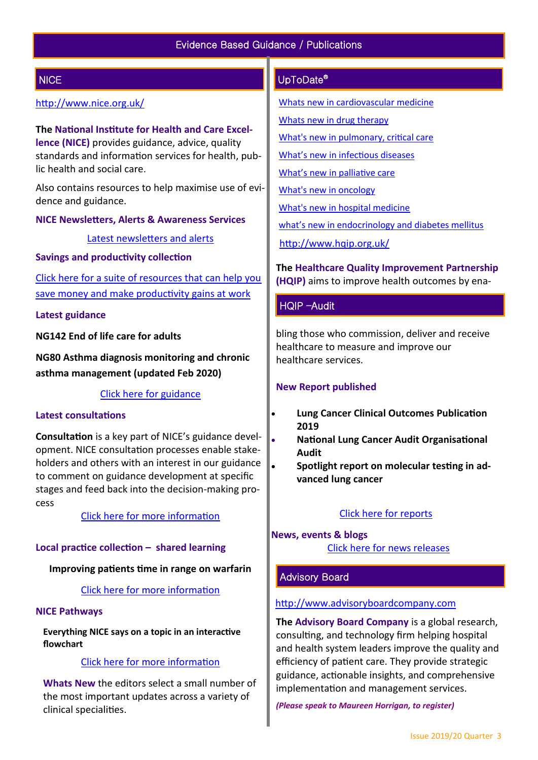# **NICE**

# <http://www.nice.org.uk/>

**The National Institute for Health and Care Excellence (NICE)** provides guidance, advice, quality standards and information services for health, public health and social care.

Also contains resources to help maximise use of evidence and guidance.

**NICE Newsletters, Alerts & Awareness Services** 

[Latest newsletters and alerts](http://www.nice.org.uk/news/nice-newsletters-and-alerts)

**Savings and productivity collection**

[Click here for a suite of resources that can help you](https://www.nice.org.uk/about/What-we-do/Our-Programmes/Savings-And-Productivity-Collection)  [save money and make productivity gains at work](https://www.nice.org.uk/about/What-we-do/Our-Programmes/Savings-And-Productivity-Collection)

#### **Latest guidance**

**NG142 End of life care for adults**

**NG80 Asthma diagnosis monitoring and chronic asthma management (updated Feb 2020)**

[Click here for guidance](https://www.nice.org.uk/guidance/published?type=apg,csg,cg,mpg,ph,sg,sc)

#### **Latest consultations**

**Consultation** is a key part of NICE's guidance development. NICE consultation processes enable stakeholders and others with an interest in our guidance to comment on guidance development at specific stages and feed back into the decision-making process

[Click here for more information](https://www.nice.org.uk/guidance/inconsultation) 

# **Local practice collection – shared learning**

### **Improving patients time in range on warfarin**

## [Click here for more information](https://www.nice.org.uk/localPractice/collection)

#### **NICE Pathways**

**Everything NICE says on a topic in an interactive flowchart** 

# [Click here for more information](https://pathways.nice.org.uk/)

**Whats New** the editors select a small number of the most important updates across a variety of clinical specialities.

# UpToDate®

[Whats new in cardiovascular medicine](http://www.uptodate.com/contents/whats-new-in-cardiovascular-medicine)

- [Whats new in drug therapy](http://www.uptodate.com/contents/whats-new-in-drug-therapy)
- [What's new in pulmonary, critical care](http://www.uptodate.com/contents/whats-new-in-pulmonary-critical-care-and-sleep-medicine)
- [What's new in infectious diseases](http://www.uptodate.com/contents/whats-new-in-infectious-diseases)

[What's new in palliative care](http://www.uptodate.com/contents/whats-new-in-palliative-care)

[What's new in oncology](http://www.uptodate.com/contents/whats-new-in-oncology)

[What's new in hospital medicine](http://www.uptodate.com/contents/whats-new-in-hospital-medicine)

[what's new in endocrinology and diabetes mellitus](http://www.uptodate.com/contents/whats-new-in-endocrinology-and-diabetes-mellitus)

<http://www.hqip.org.uk/>

**The Healthcare Quality Improvement Partnership (HQIP)** aims to improve health outcomes by ena-

# HQIP –Audit

bling those who commission, deliver and receive healthcare to measure and improve our healthcare services.

#### **New Report published**

- **Lung Cancer Clinical Outcomes Publication 2019**
- **National Lung Cancer Audit Organisational Audit**
- **Spotlight report on molecular testing in advanced lung cancer**

#### [Click here for reports](http://www.hqip.org.uk/resources/?fwp_resource_type=reports#.XC9IK4dXU5i)

**News, events & blogs** [Click here for news releases](http://www.hqip.org.uk/news-releases/)

# Advisory Board

#### [http://www.advisoryboardcompany.com](http://www.advisoryboardcompany.com/)

**The Advisory Board Company** is a global research, consulting, and technology firm helping hospital and health system leaders improve the quality and efficiency of patient care. They provide strategic guidance, actionable insights, and comprehensive implementation and management services.

*(Please speak to Maureen Horrigan, to register)*